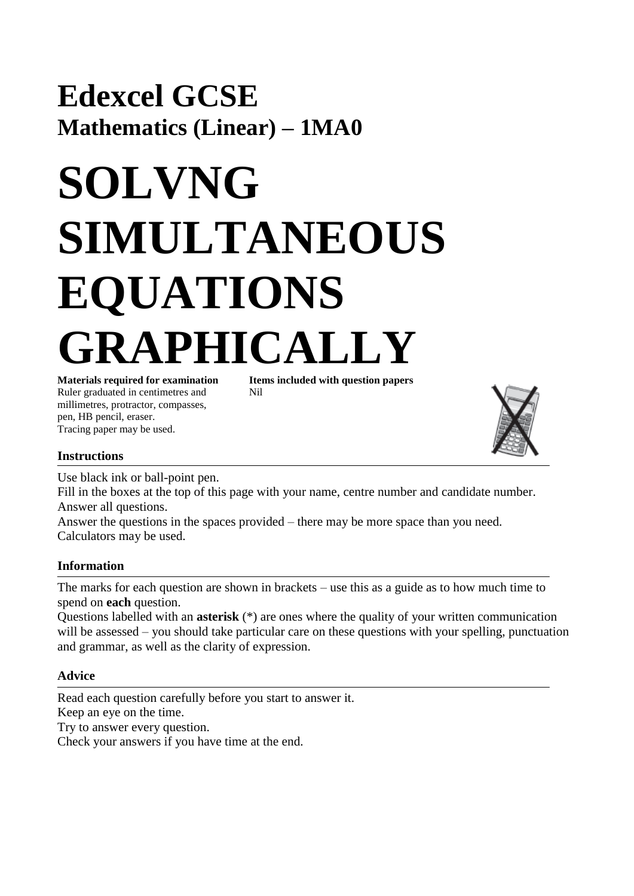## **Edexcel GCSE Mathematics (Linear) – 1MA0**

# **SOLVNG SIMULTANEOUS EQUATIONS**  PHICALLY **Materials required for examination Items included with question papers**

Ruler graduated in centimetres and Nil millimetres, protractor, compasses, pen, HB pencil, eraser. Tracing paper may be used.



### **Instructions**

Use black ink or ball-point pen.

Fill in the boxes at the top of this page with your name, centre number and candidate number. Answer all questions.

Answer the questions in the spaces provided – there may be more space than you need. Calculators may be used.

#### **Information**

The marks for each question are shown in brackets – use this as a guide as to how much time to spend on **each** question.

Questions labelled with an **asterisk** (\*) are ones where the quality of your written communication will be assessed – you should take particular care on these questions with your spelling, punctuation and grammar, as well as the clarity of expression.

### **Advice**

Read each question carefully before you start to answer it. Keep an eye on the time. Try to answer every question. Check your answers if you have time at the end.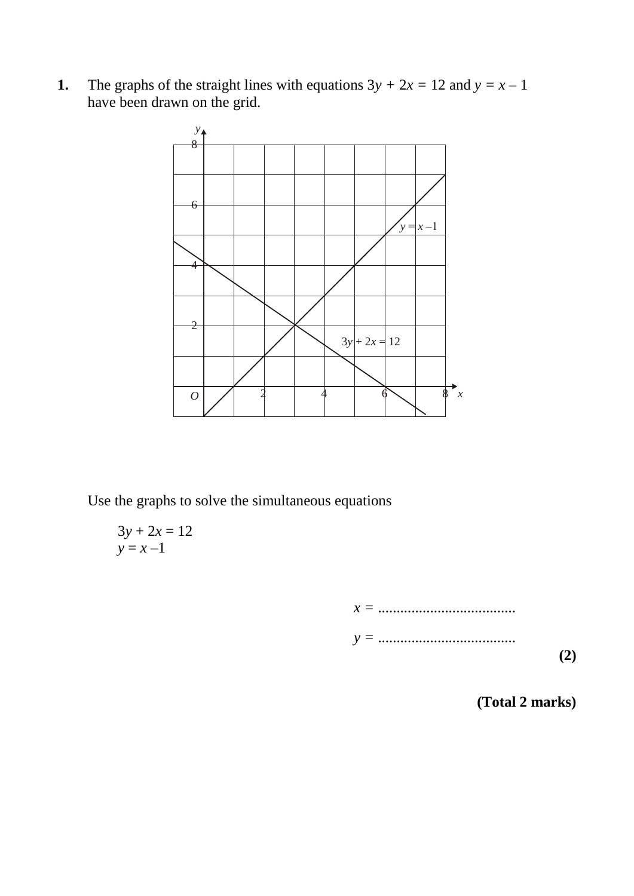**1.** The graphs of the straight lines with equations  $3y + 2x = 12$  and  $y = x - 1$ have been drawn on the grid.



Use the graphs to solve the simultaneous equations

$$
3y + 2x = 12
$$
  

$$
y = x - 1
$$

*x =* ..................................... *y =* ..................................... **(2)**

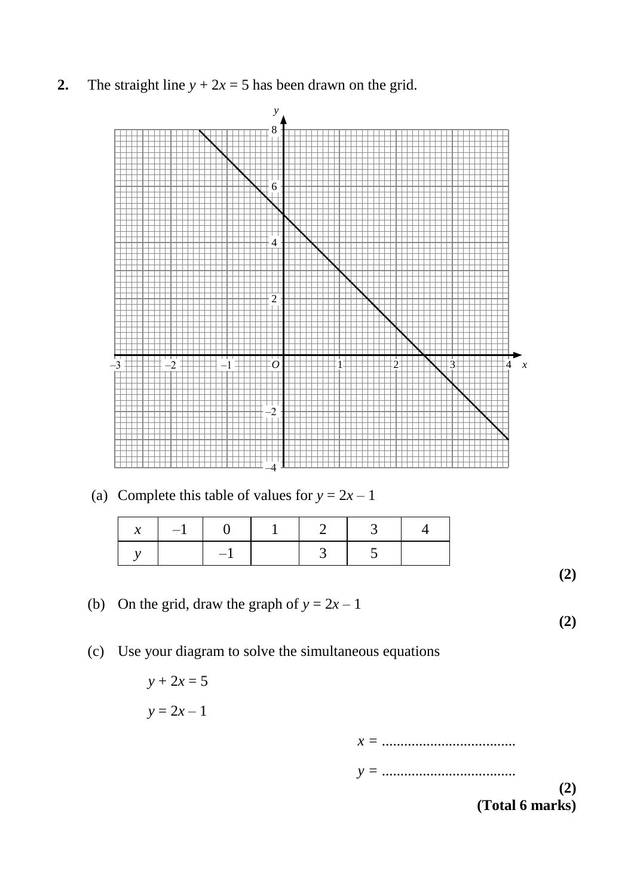**2.** The straight line  $y + 2x = 5$  has been drawn on the grid.



(a) Complete this table of values for  $y = 2x - 1$ 

| $\mathcal{X}$<br>$\mathbf{I}$ | $\vert -1 \vert$ | $\mathbb{R}$ | -1. |  |  |
|-------------------------------|------------------|--------------|-----|--|--|
|                               |                  | $-1$         |     |  |  |

(b) On the grid, draw the graph of  $y = 2x - 1$ 

(c) Use your diagram to solve the simultaneous equations

$$
y + 2x = 5
$$

$$
y = 2x - 1
$$

*x =* .................................... *y =* .................................... **(2) (Total 6 marks)**

**(2)**

**(2)**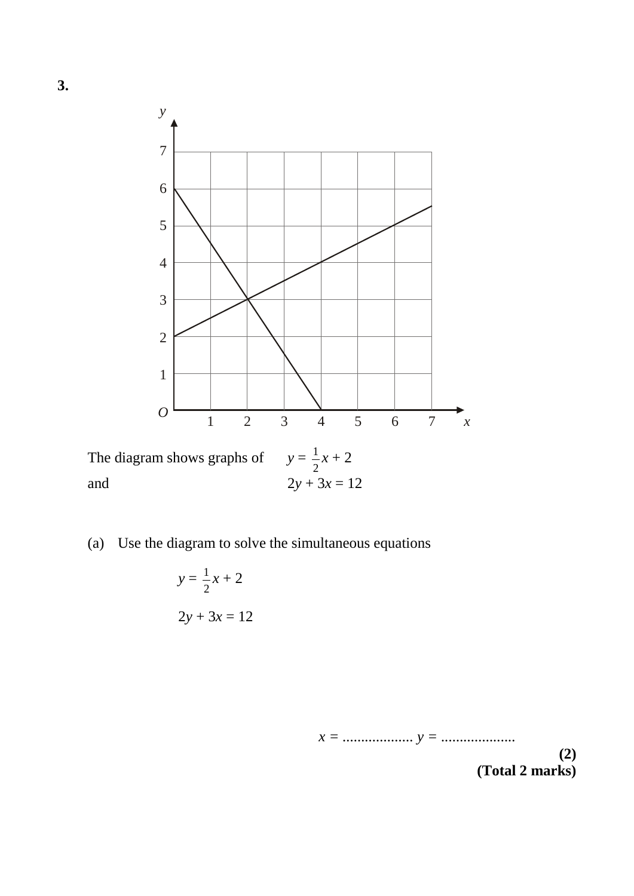

The diagram shows graphs of  $y = \frac{1}{2}x + 2$ and  $2y + 3x = 12$ 2

(a) Use the diagram to solve the simultaneous equations

$$
y = \frac{1}{2}x + 2
$$
  

$$
2y + 3x = 12
$$

*x = ................... y = ....................* **(2)**

**(Total 2 marks)**